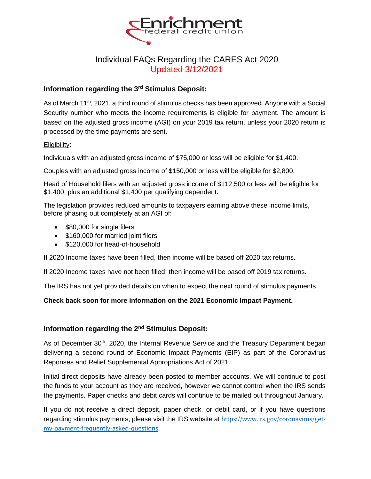

# Individual FAQs Regarding the CARES Act 2020 Updated 3/12/2021

# **Information regarding the 3rd Stimulus Deposit:**

As of March 11<sup>th</sup>, 2021, a third round of stimulus checks has been approved. Anyone with a Social Security number who meets the income requirements is eligible for payment. The amount is based on the adjusted gross income (AGI) on your 2019 tax return, unless your 2020 return is processed by the time payments are sent.

# Eligibility:

Individuals with an adjusted gross income of \$75,000 or less will be eligible for \$1,400.

Couples with an adjusted gross income of \$150,000 or less will be eligible for \$2,800.

Head of Household filers with an adjusted gross income of \$112,500 or less will be eligible for \$1,400, plus an additional \$1,400 per qualifying dependent.

The legislation provides reduced amounts to taxpayers earning above these income limits, before phasing out completely at an AGI of:

- \$80,000 for single filers
- \$160,000 for married joint filers
- \$120,000 for head-of-household

If 2020 Income taxes have been filled, then income will be based off 2020 tax returns.

If 2020 Income taxes have not been filled, then income will be based off 2019 tax returns.

The IRS has not yet provided details on when to expect the next round of stimulus payments.

# **Check back soon for more information on the 2021 Economic Impact Payment.**

# **Information regarding the 2nd Stimulus Deposit:**

As of December 30<sup>th</sup>, 2020, the Internal Revenue Service and the Treasury Department began delivering a second round of Economic Impact Payments (EIP) as part of the Coronavirus Reponses and Relief Supplemental Appropriations Act of 2021.

Initial direct deposits have already been posted to member accounts. We will continue to post the funds to your account as they are received, however we cannot control when the IRS sends the payments. Paper checks and debit cards will continue to be mailed out throughout January.

If you do not receive a direct deposit, paper check, or debit card, or if you have questions regarding stimulus payments, please visit the IRS website at https://www.irs.gov/coronavirus/getmy-payment-frequently-asked-questions.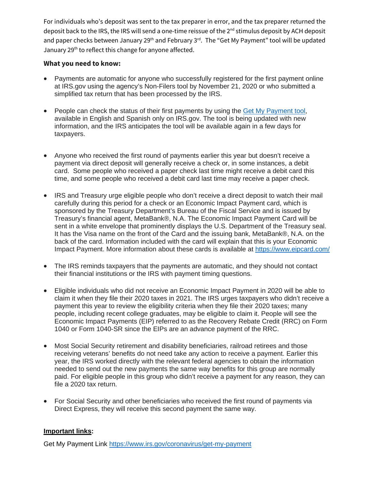For individuals who's deposit was sent to the tax preparer in error, and the tax preparer returned the deposit back to the IRS, the IRS will send a one-time reissue of the 2<sup>nd</sup> stimulus deposit by ACH deposit and paper checks between January 29<sup>th</sup> and February 3<sup>rd</sup>. The "Get My Payment" tool will be updated January 29<sup>th</sup> to reflect this change for anyone affected.

# **What you need to know:**

- Payments are automatic for anyone who successfully registered for the first payment online at IRS.gov using the agency's Non-Filers tool by November 21, 2020 or who submitted a simplified tax return that has been processed by the IRS.
- People can check the status of their first payments by using the Get My Payment tool, available in English and Spanish only on IRS.gov. The tool is being updated with new information, and the IRS anticipates the tool will be available again in a few days for taxpayers.
- Anyone who received the first round of payments earlier this year but doesn't receive a payment via direct deposit will generally receive a check or, in some instances, a debit card. Some people who received a paper check last time might receive a debit card this time, and some people who received a debit card last time may receive a paper check.
- IRS and Treasury urge eligible people who don't receive a direct deposit to watch their mail carefully during this period for a check or an Economic Impact Payment card, which is sponsored by the Treasury Department's Bureau of the Fiscal Service and is issued by Treasury's financial agent, MetaBank®, N.A. The Economic Impact Payment Card will be sent in a white envelope that prominently displays the U.S. Department of the Treasury seal. It has the Visa name on the front of the Card and the issuing bank, MetaBank®, N.A. on the back of the card. Information included with the card will explain that this is your Economic Impact Payment. More information about these cards is available at https://www.eipcard.com/
- The IRS reminds taxpayers that the payments are automatic, and they should not contact their financial institutions or the IRS with payment timing questions.
- Eligible individuals who did not receive an Economic Impact Payment in 2020 will be able to claim it when they file their 2020 taxes in 2021. The IRS urges taxpayers who didn't receive a payment this year to review the eligibility criteria when they file their 2020 taxes; many people, including recent college graduates, may be eligible to claim it. People will see the Economic Impact Payments (EIP) referred to as the Recovery Rebate Credit (RRC) on Form 1040 or Form 1040-SR since the EIPs are an advance payment of the RRC.
- Most Social Security retirement and disability beneficiaries, railroad retirees and those receiving veterans' benefits do not need take any action to receive a payment. Earlier this year, the IRS worked directly with the relevant federal agencies to obtain the information needed to send out the new payments the same way benefits for this group are normally paid. For eligible people in this group who didn't receive a payment for any reason, they can file a 2020 tax return.
- For Social Security and other beneficiaries who received the first round of payments via Direct Express, they will receive this second payment the same way.

# **Important links:**

Get My Payment Link https://www.irs.gov/coronavirus/get-my-payment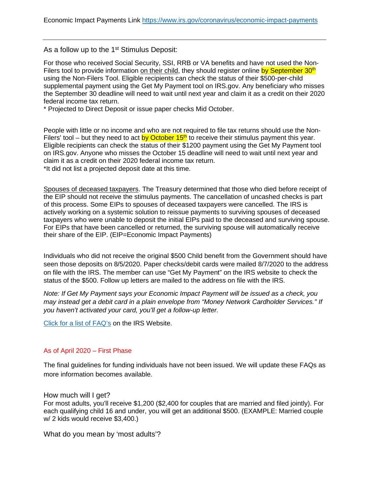As a follow up to the 1<sup>st</sup> Stimulus Deposit:

For those who received Social Security, SSI, RRB or VA benefits and have not used the Non-Filers tool to provide information on their child, they should register online by September 30<sup>th</sup> using the Non-Filers Tool. Eligible recipients can check the status of their \$500-per-child supplemental payment using the Get My Payment tool on IRS.gov. Any beneficiary who misses the September 30 deadline will need to wait until next year and claim it as a credit on their 2020 federal income tax return.

\* Projected to Direct Deposit or issue paper checks Mid October.

People with little or no income and who are not required to file tax returns should use the Non-Filers' tool – but they need to act by October  $15<sup>th</sup>$  to receive their stimulus payment this year. Eligible recipients can check the status of their \$1200 payment using the Get My Payment tool on IRS.gov. Anyone who misses the October 15 deadline will need to wait until next year and claim it as a credit on their 2020 federal income tax return. \*It did not list a projected deposit date at this time.

Spouses of deceased taxpayers. The Treasury determined that those who died before receipt of the EIP should not receive the stimulus payments. The cancellation of uncashed checks is part of this process. Some EIPs to spouses of deceased taxpayers were cancelled. The IRS is actively working on a systemic solution to reissue payments to surviving spouses of deceased taxpayers who were unable to deposit the initial EIPs paid to the deceased and surviving spouse. For EIPs that have been cancelled or returned, the surviving spouse will automatically receive their share of the EIP. (EIP=Economic Impact Payments)

Individuals who did not receive the original \$500 Child benefit from the Government should have seen those deposits on 8/5/2020. Paper checks/debit cards were mailed 8/7/2020 to the address on file with the IRS. The member can use "Get My Payment" on the IRS website to check the status of the \$500. Follow up letters are mailed to the address on file with the IRS.

*Note: If Get My Payment says your Economic Impact Payment will be issued as a check, you may instead get a debit card in a plain envelope from "Money Network Cardholder Services." If you haven't activated your card, you'll get a follow-up letter.* 

Click for a list of FAQ's on the IRS Website.

#### As of April 2020 – First Phase

The final guidelines for funding individuals have not been issued. We will update these FAQs as more information becomes available.

How much will I get?

For most adults, you'll receive \$1,200 (\$2,400 for couples that are married and filed jointly). For each qualifying child 16 and under, you will get an additional \$500. (EXAMPLE: Married couple w/ 2 kids would receive \$3,400.)

What do you mean by 'most adults'?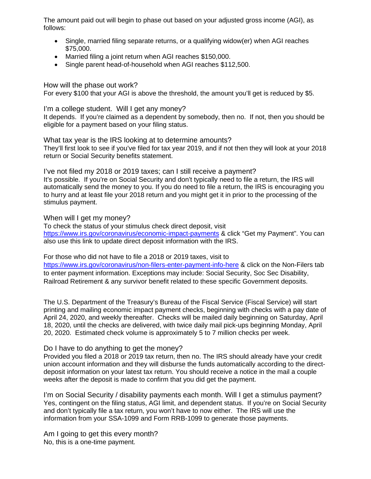The amount paid out will begin to phase out based on your adjusted gross income (AGI), as follows:

- Single, married filing separate returns, or a qualifying widow(er) when AGI reaches \$75,000.
- Married filing a joint return when AGI reaches \$150,000.
- Single parent head-of-household when AGI reaches \$112,500.

How will the phase out work?

For every \$100 that your AGI is above the threshold, the amount you'll get is reduced by \$5.

I'm a college student. Will I get any money?

It depends. If you're claimed as a dependent by somebody, then no. If not, then you should be eligible for a payment based on your filing status.

What tax year is the IRS looking at to determine amounts? They'll first look to see if you've filed for tax year 2019, and if not then they will look at your 2018 return or Social Security benefits statement.

I've not filed my 2018 or 2019 taxes; can I still receive a payment? It's possible. If you're on Social Security and don't typically need to file a return, the IRS will automatically send the money to you. If you do need to file a return, the IRS is encouraging you to hurry and at least file your 2018 return and you might get it in prior to the processing of the stimulus payment.

When will I get my money?

To check the status of your stimulus check direct deposit, visit https://www.irs.gov/coronavirus/economic-impact-payments & click "Get my Payment". You can also use this link to update direct deposit information with the IRS.

For those who did not have to file a 2018 or 2019 taxes, visit to https://www.irs.gov/coronavirus/non-filers-enter-payment-info-here & click on the Non-Filers tab to enter payment information. Exceptions may include: Social Security, Soc Sec Disability, Railroad Retirement & any survivor benefit related to these specific Government deposits.

The U.S. Department of the Treasury's Bureau of the Fiscal Service (Fiscal Service) will start printing and mailing economic impact payment checks, beginning with checks with a pay date of April 24, 2020, and weekly thereafter. Checks will be mailed daily beginning on Saturday, April 18, 2020, until the checks are delivered, with twice daily mail pick-ups beginning Monday, April 20, 2020. Estimated check volume is approximately 5 to 7 million checks per week.

# Do I have to do anything to get the money?

Provided you filed a 2018 or 2019 tax return, then no. The IRS should already have your credit union account information and they will disburse the funds automatically according to the directdeposit information on your latest tax return. You should receive a notice in the mail a couple weeks after the deposit is made to confirm that you did get the payment.

I'm on Social Security / disability payments each month. Will I get a stimulus payment? Yes, contingent on the filing status, AGI limit, and dependent status. If you're on Social Security and don't typically file a tax return, you won't have to now either. The IRS will use the information from your SSA-1099 and Form RRB-1099 to generate those payments.

Am I going to get this every month? No, this is a one-time payment.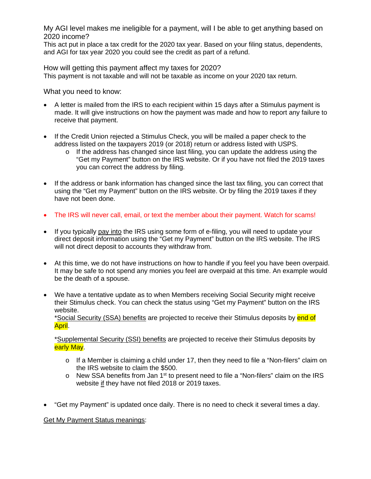My AGI level makes me ineligible for a payment, will I be able to get anything based on 2020 income?

This act put in place a tax credit for the 2020 tax year. Based on your filing status, dependents, and AGI for tax year 2020 you could see the credit as part of a refund.

How will getting this payment affect my taxes for 2020? This payment is not taxable and will not be taxable as income on your 2020 tax return.

What you need to know:

- A letter is mailed from the IRS to each recipient within 15 days after a Stimulus payment is made. It will give instructions on how the payment was made and how to report any failure to receive that payment.
- If the Credit Union rejected a Stimulus Check, you will be mailed a paper check to the address listed on the taxpayers 2019 (or 2018) return or address listed with USPS.
	- $\circ$  If the address has changed since last filing, you can update the address using the "Get my Payment" button on the IRS website. Or if you have not filed the 2019 taxes you can correct the address by filing.
- If the address or bank information has changed since the last tax filing, you can correct that using the "Get my Payment" button on the IRS website. Or by filing the 2019 taxes if they have not been done.
- The IRS will never call, email, or text the member about their payment. Watch for scams!
- If you typically pay into the IRS using some form of e-filing, you will need to update your direct deposit information using the "Get my Payment" button on the IRS website. The IRS will not direct deposit to accounts they withdraw from.
- At this time, we do not have instructions on how to handle if you feel you have been overpaid. It may be safe to not spend any monies you feel are overpaid at this time. An example would be the death of a spouse.
- We have a tentative update as to when Members receiving Social Security might receive their Stimulus check. You can check the status using "Get my Payment" button on the IRS website.

\*Social Security (SSA) benefits are projected to receive their Stimulus deposits by end of April.

\*Supplemental Security (SSI) benefits are projected to receive their Stimulus deposits by early May.

- $\circ$  If a Member is claiming a child under 17, then they need to file a "Non-filers" claim on the IRS website to claim the \$500.
- $\circ$  New SSA benefits from Jan 1<sup>st</sup> to present need to file a "Non-filers" claim on the IRS website if they have not filed 2018 or 2019 taxes.
- "Get my Payment" is updated once daily. There is no need to check it several times a day.

Get My Payment Status meanings: